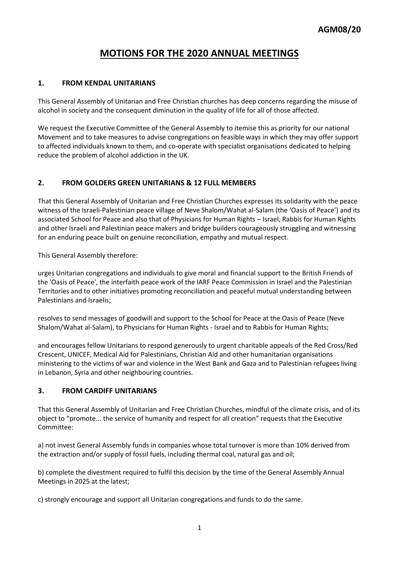# **MOTIONS FOR THE 2020 ANNUAL MEETINGS**

## **1. FROM KENDAL UNITARIANS**

This General Assembly of Unitarian and Free Christian churches has deep concerns regarding the misuse of alcohol in society and the consequent diminution in the quality of life for all of those affected.

We request the Executive Committee of the General Assembly to itemise this as priority for our national Movement and to take measures to advise congregations on feasible ways in which they may offer support to affected individuals known to them, and co-operate with specialist organisations dedicated to helping reduce the problem of alcohol addiction in the UK.

## **2. FROM GOLDERS GREEN UNITARIANS & 12 FULL MEMBERS**

That this General Assembly of Unitarian and Free Christian Churches expresses its solidarity with the peace witness of the Israeli-Palestinian peace village of Neve Shalom/Wahat al-Salam (the 'Oasis of Peace') and its associated School for Peace and also that of Physicians for Human Rights – Israel, Rabbis for Human Rights and other Israeli and Palestinian peace makers and bridge builders courageously struggling and witnessing for an enduring peace built on genuine reconciliation, empathy and mutual respect.

This General Assembly therefore:

urges Unitarian congregations and individuals to give moral and financial support to the British Friends of the 'Oasis of Peace', the interfaith peace work of the IARF Peace Commission in Israel and the Palestinian Territories and to other initiatives promoting reconciliation and peaceful mutual understanding between Palestinians and Israelis;

resolves to send messages of goodwill and support to the School for Peace at the Oasis of Peace (Neve Shalom/Wahat al-Salam), to Physicians for Human Rights - Israel and to Rabbis for Human Rights;

and encourages fellow Unitarians to respond generously to urgent charitable appeals of the Red Cross/Red Crescent, UNICEF, Medical Aid for Palestinians, Christian Aid and other humanitarian organisations ministering to the victims of war and violence in the West Bank and Gaza and to Palestinian refugees living in Lebanon, Syria and other neighbouring countries.

### **3. FROM CARDIFF UNITARIANS**

That this General Assembly of Unitarian and Free Christian Churches, mindful of the climate crisis, and of its object to "promote... the service of humanity and respect for all creation" requests that the Executive Committee:

a) not invest General Assembly funds in companies whose total turnover is more than 10% derived from the extraction and/or supply of fossil fuels, including thermal coal, natural gas and oil;

b) complete the divestment required to fulfil this decision by the time of the General Assembly Annual Meetings in 2025 at the latest;

c) strongly encourage and support all Unitarian congregations and funds to do the same.